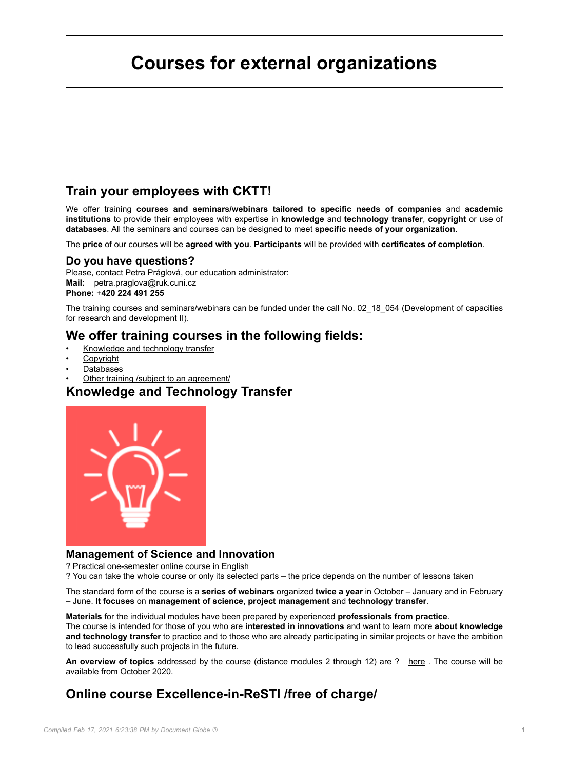# **Courses for external organizations**

### **Train your employees with CKTT!**

We offer training **courses and seminars/webinars tailored to specific needs of companies** and **academic institutions** to provide their employees with expertise in **knowledge** and **technology transfer**, **copyright** or use of **databases**. All the seminars and courses can be designed to meet **specific needs of your organization**.

The **price** of our courses will be **agreed with you**. **Participants** will be provided with **certificates of completion**.

#### **Do you have questions?**

Please, contact Petra Práglová, our education administrator: **Mail:** [petra.praglova@ruk.cuni.cz](mailto:petra.praglova@ruk.cuni.cz) **Phone:** +**420 224 491 255**

The training courses and seminars/webinars can be funded under the call No. 02 18 054 (Development of capacities for research and development II).

### **We offer training courses in the following fields:**

- Knowledge and technology transfer
- **Copyright**
- Databases
- Other training /subject to an agreement/

### **Knowledge and Technology Transfer**



#### **Management of Science and Innovation**

? Practical one-semester online course in English

? You can take the whole course or only its selected parts – the price depends on the number of lessons taken

The standard form of the course is a **series of webinars** organized **twice a year** in October – January and in February – June. **It focuses** on **management of science**, **project management** and **technology transfer**.

**Materials** for the individual modules have been prepared by experienced **professionals from practice**.

The course is intended for those of you who are **interested in innovations** and want to learn more **about knowledge and technology transfer** to practice and to those who are already participating in similar projects or have the ambition to lead successfully such projects in the future.

An overview of topics addressed by the course (distance modules 2 through 12) are ? [here](https://cppt.cuni.cz/CPPTNEN-40.html) . The course will be available from October 2020.

# **Online course Excellence-in-ReSTI /free of charge/**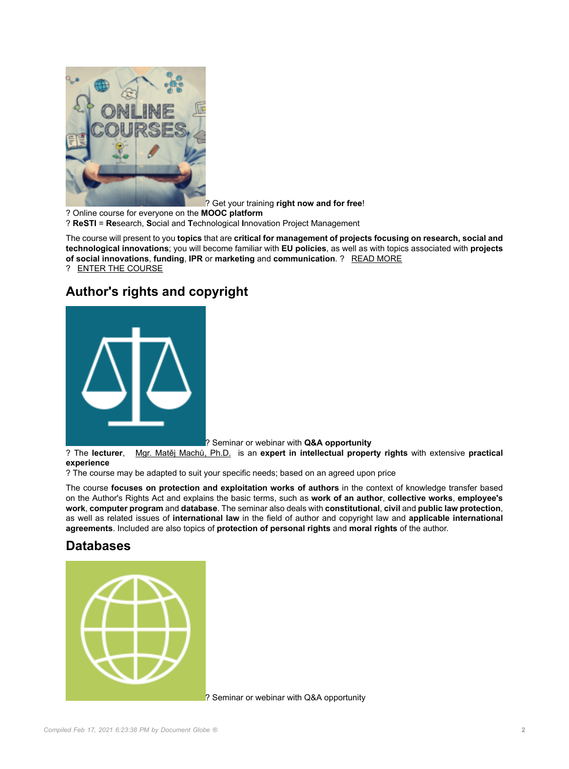

? Get your training **right now and for free**!

? Online course for everyone on the **MOOC platform**

? **ReSTI** = **Re**search, **S**ocial and **T**echnological **I**nnovation Project Management

The course will present to you **topics** that are **critical for management of projects focusing on research, social and technological innovations**; you will become familiar with **EU policies**, as well as with topics associated with **projects of social innovations**, **funding**, **IPR** or **marketing** and **communication**. ? [READ MORE](https://resti.academy/) ? [ENTER THE COURSE](https://mooc.cuni.cz/course/view.php?id=24)

# **Author's rights and copyright**



? Seminar or webinar with **Q&A opportunity**

? The **lecturer**, [Mgr. Matěj Machů, Ph.D.](https://www.linkedin.com/in/matej-machu-596164163/) is an **expert in intellectual property rights** with extensive **practical experience**

? The course may be adapted to suit your specific needs; based on an agreed upon price

The course **focuses on protection and exploitation works of authors** in the context of knowledge transfer based on the Author's Rights Act and explains the basic terms, such as **work of an author**, **collective works**, **employee's work**, **computer program** and **database**. The seminar also deals with **constitutional**, **civil** and **public law protection**, as well as related issues of **international law** in the field of author and copyright law and **applicable international agreements**. Included are also topics of **protection of personal rights** and **moral rights** of the author.

### **Databases**



? Seminar or webinar with Q&A opportunity